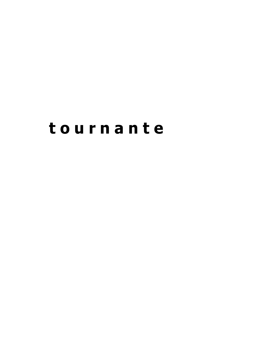# **t o u r n a n t e**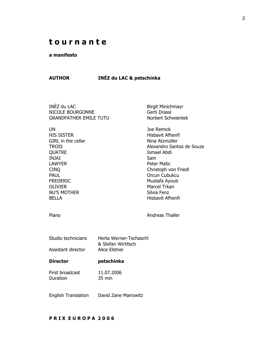### **t o u r n a n t e**

#### **a manifesto**

#### **AUTHOR INÉZ du LAC & petschinka**

INÉZ du LAC Birgit Minichmayr NICOLE BOURGONNE Gerti Drassl GRANDFATHER EMILE TUTU Norbert Schwientek

UN Joe Remick HIS SISTER Hisbavit Afhenfi GIRL in the cellar Nina Atzmüller QUATRE Ismael Abdi INJAI Sam LAWYER **Example 2018** Peter Matic PAUL **PAUL PAUL PAUL** FREDERIC Mustafa Ayoub OLIVIER Marcel Trkan NU'S MOTHER Silvia Fenz BELLA **Hisbavit Afhenfi** 

TROIS Alexandro Santos de Souza CINQ Christoph von Friedl

Piano **Andreas Thaller** 

| Studio technicians | Herta Werner-Tschaschl |
|--------------------|------------------------|
|                    | & Stefan Wirtitsch     |
| Assistant director | Alice Elstner          |

- **Director petschinka**
- First broadcast 11.07.2006 Duration 35 min

English Translation David Zane Mairowitz

#### **P R I X E U R O P A 2 0 0 6**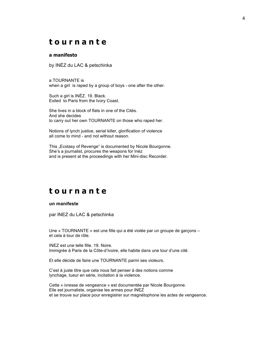### **t o u r n a n t e**

#### **a manifesto**

by INÉZ du LAC & petschinka

a TOURNANTE is when a girl is raped by a group of boys - one after the other.

Such a girl is INÉZ. 19. Black. Exiled to Paris from the Ivory Coast.

She lives in a block of flats in one of the Cités. And she decides to carry out her own TOURNANTE on those who raped her.

Notions of lynch justice, serial killer, glorification of violence all come to mind - and not without reason.

This ..Ecstasy of Revenge" is documented by Nicole Bourgonne. She's a journalist, procures the weapons for Inéz and is present at the proceedings with her Mini-disc Recorder.

### **t o u r n a n t e**

#### **un manifeste**

par INEZ du LAC & petschinka

Une « TOURNANTE » est une fille qui a été violée par un groupe de garçons – et cela à tour de rôle.

INEZ est une telle fille. 19. Noire. Immigrée à Paris de la Côte-d'Ivoire, elle habite dans une tour d'une cité.

Et elle décide de faire une TOURNANTE parmi ses violeurs.

C'est à juste titre que cela nous fait penser à des notions comme lynchage, tueur en série, incitation à la violence.

Cette « ivresse de vengeance » est documentée par Nicole Bourgonne. Elle est journaliste, organise les armes pour INEZ et se trouve sur place pour enregistrer sur magnétophone les actes de vengeance.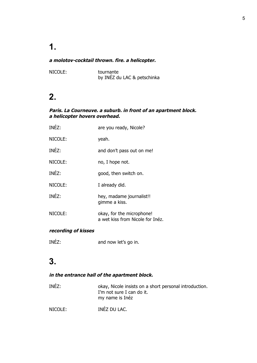#### **a molotov-cocktail thrown. fire. a helicopter.**

NICOLE: tournante by INÉZ du LAC & petschinka

### **2.**

#### **Paris. La Courneuve. a suburb. in front of an apartment block. a helicopter hovers overhead.**

| INÉZ:   | are you ready, Nicole?                                        |
|---------|---------------------------------------------------------------|
| NICOLE: | yeah.                                                         |
| INÉZ:   | and don't pass out on me!                                     |
| NICOLE: | no, I hope not.                                               |
| INÉZ:   | good, then switch on.                                         |
| NICOLE: | I already did.                                                |
| INÉZ:   | hey, madame journalist!!<br>gimme a kiss.                     |
| NICOLE: | okay, for the microphone!<br>a wet kiss from Nicole for Inéz. |

#### **recording of kisses**

INÉZ: and now let's go in.

## **3.**

#### **in the entrance hall of the apartment block.**

| INÉZ:   | okay, Nicole insists on a short personal introduction.<br>I'm not sure I can do it.<br>my name is Inéz |
|---------|--------------------------------------------------------------------------------------------------------|
| NICOLE: | INÉZ DU LAC.                                                                                           |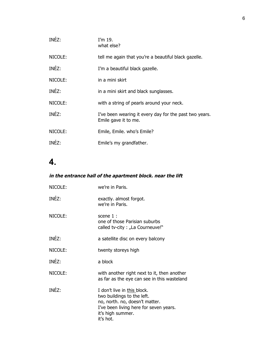| INÉZ:   | I'm $19.$<br>what else?                                                        |
|---------|--------------------------------------------------------------------------------|
| NICOLE: | tell me again that you're a beautiful black gazelle.                           |
| INÉZ:   | I'm a beautiful black gazelle.                                                 |
| NICOLE: | in a mini skirt                                                                |
| INÉZ:   | in a mini skirt and black sunglasses.                                          |
| NICOLE: | with a string of pearls around your neck.                                      |
| INÉZ:   | I've been wearing it every day for the past two years.<br>Emile gave it to me. |
| NICOLE: | Emile, Emile. who's Emile?                                                     |
| INÉZ:   | Emile's my grandfather.                                                        |
|         |                                                                                |

### **in the entrance hall of the apartment block. near the lift**

| NICOLE: | we're in Paris.                                                                                                                                                         |
|---------|-------------------------------------------------------------------------------------------------------------------------------------------------------------------------|
| INÉZ:   | exactly. almost forgot.<br>we're in Paris.                                                                                                                              |
| NICOLE: | scene 1 :<br>one of those Parisian suburbs<br>called tv-city : "La Courneuve!"                                                                                          |
| INÉZ:   | a satellite disc on every balcony                                                                                                                                       |
| NICOLE: | twenty storeys high                                                                                                                                                     |
| INÉZ:   | a block                                                                                                                                                                 |
| NICOLE: | with another right next to it, then another<br>as far as the eye can see in this wasteland                                                                              |
| INÉZ:   | I don't live in this block.<br>two buildings to the left.<br>no, north. no, doesn't matter.<br>I've been living here for seven years.<br>it's high summer.<br>it's hot. |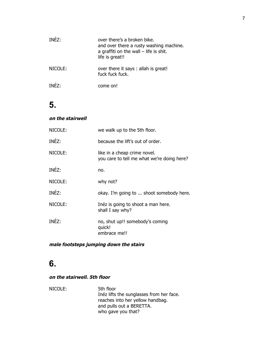| INFZ:   | over there's a broken bike.<br>and over there a rusty washing machine.<br>a graffiti on the wall $-$ life is shit.<br>life is great!! |
|---------|---------------------------------------------------------------------------------------------------------------------------------------|
| NICOLE: | over there it says : allah is great!<br>fuck fuck fuck.                                                                               |
| TNF7:   | come on!                                                                                                                              |

### **on the stairwell**

| NICOLE: | we walk up to the 5th floor.                                               |
|---------|----------------------------------------------------------------------------|
| INÉZ:   | because the lift's out of order.                                           |
| NICOLE: | like in a cheap crime novel.<br>you care to tell me what we're doing here? |
| INÉZ:   | no.                                                                        |
| NICOLE: | why not?                                                                   |
| INÉZ:   | okay. I'm going to  shoot somebody here.                                   |
| NICOLE: | Inéz is going to shoot a man here.<br>shall I say why?                     |
| INÉZ:   | no, shut up!! somebody's coming<br>quick!<br>embrace me!!                  |

### **male footsteps jumping down the stairs**

## **6.**

### **on the stairwell. 5th floor**

| NICOLE: | 5th floor                                |
|---------|------------------------------------------|
|         | Inéz lifts the sunglasses from her face. |
|         | reaches into her yellow handbag.         |
|         | and pulls out a BERETTA.                 |
|         | who gave you that?                       |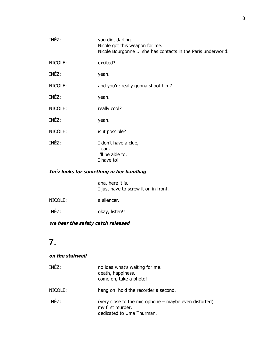| you did, darling.<br>Nicole got this weapon for me.<br>Nicole Bourgonne  she has contacts in the Paris underworld. |
|--------------------------------------------------------------------------------------------------------------------|
| excited?                                                                                                           |
| yeah.                                                                                                              |
| and you're really gonna shoot him?                                                                                 |
| yeah.                                                                                                              |
| really cool?                                                                                                       |
| yeah.                                                                                                              |
| is it possible?                                                                                                    |
| I don't have a clue,<br>I can.<br>I'll be able to.<br>I have to!                                                   |
|                                                                                                                    |

#### **Inéz looks for something in her handbag**

aha, here it is. I just have to screw it on in front.

- NICOLE: a silencer.
- INÉZ: okay, listen!!

#### **we hear the safety catch released**

## **7.**

#### **on the stairwell**

| INEZ:   | no idea what's waiting for me.<br>death, happiness.<br>come on, take a photo!                          |
|---------|--------------------------------------------------------------------------------------------------------|
| NICOLE: | hang on. hold the recorder a second.                                                                   |
| INÉZ:   | (very close to the microphone – maybe even distorted)<br>my first murder.<br>dedicated to Uma Thurman. |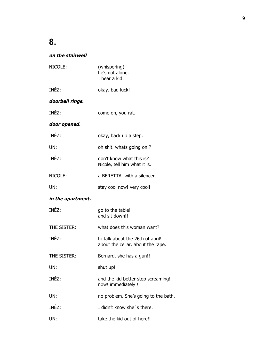### **on the stairwell**

| NICOLE:           | (whispering)<br>he's not alone.<br>I hear a kid.                      |
|-------------------|-----------------------------------------------------------------------|
| INÉZ:             | okay. bad luck!                                                       |
| doorbell rings.   |                                                                       |
| INÉZ:             | come on, you rat.                                                     |
| door opened.      |                                                                       |
| INÉZ:             | okay, back up a step.                                                 |
| UN:               | oh shit. whats going on!?                                             |
| INÉZ:             | don't know what this is?<br>Nicole, tell him what it is.              |
| NICOLE:           | a BERETTA, with a silencer.                                           |
| UN:               | stay cool now! very cool!                                             |
| in the apartment. |                                                                       |
| INÉZ:             | go to the table!<br>and sit down!!                                    |
| THE SISTER:       | what does this woman want?                                            |
| INÉZ:             | to talk about the 26th of april!<br>about the cellar. about the rape. |
| THE SISTER:       | Bernard, she has a gun!!                                              |
| UN:               | shut up!                                                              |
| INÉZ:             | and the kid better stop screaming!<br>now! immediately!!              |
| UN:               | no problem. She's going to the bath.                                  |
| INÉZ:             | I didn't know she's there.                                            |
| UN:               | take the kid out of here!!                                            |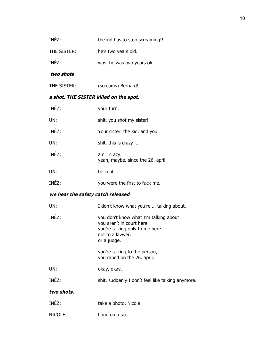| INEZ: | the kid has to stop screaming!! |
|-------|---------------------------------|
|       |                                 |

THE SISTER: he's two years old.

INÉZ: was. he was two years old.

#### **two shots**

THE SISTER: (screams) Bernard!

### **a shot. THE SISTER killed on the spot.**

| INÉZ:                             | your turn.                                                                                                                               |  |
|-----------------------------------|------------------------------------------------------------------------------------------------------------------------------------------|--|
| UN:                               | shit, you shot my sister!                                                                                                                |  |
| INÉZ:                             | Your sister. the kid. and you.                                                                                                           |  |
| UN:                               | shit, this is crazy                                                                                                                      |  |
| INÉZ:                             | am I crazy.<br>yeah, maybe. since the 26. april.                                                                                         |  |
| UN:                               | be cool.                                                                                                                                 |  |
| INÉZ:                             | you were the first to fuck me.                                                                                                           |  |
| we hear the safety catch released |                                                                                                                                          |  |
| UN:                               | I don't know what you're  talking about.                                                                                                 |  |
| INÉZ:                             | you don't know what I'm talking about<br>you aren't in court here.<br>you're talking only to me here.<br>not to a lawyer.<br>or a judge. |  |
|                                   | you're talking to the person,<br>you raped on the 26. april.                                                                             |  |
| UN:                               | okay, okay.                                                                                                                              |  |
| INÉZ:                             | shit, suddenly I don't feel like talking anymore.                                                                                        |  |
| two shots.                        |                                                                                                                                          |  |
| INÉZ:                             | take a photo, Nicole!                                                                                                                    |  |
| NICOLE:                           | hang on a sec.                                                                                                                           |  |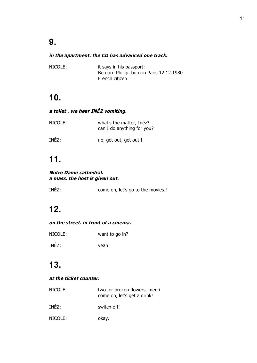#### **in the apartment. the CD has advanced one track.**

| NICOLE: | it says in his passport:                  |
|---------|-------------------------------------------|
|         | Bernard Phillip. born in Paris 12.12.1980 |
|         | French citizen                            |

## **10.**

### **a toilet . we hear INÉZ vomiting.**

| NICOLE: | what's the matter, Inéz?<br>can I do anything for you? |
|---------|--------------------------------------------------------|
| INÉZ:   | no, get out, get out!!                                 |

## **11.**

#### **Notre Dame cathedral. a mass. the host is given out.**

| INEZ: | come on, let's go to the movies.! |
|-------|-----------------------------------|
|       |                                   |

## **12.**

#### **on the street. in front of a cinema.**

| NICOLE: | want to go in? |
|---------|----------------|
| INÉZ:   | yeah           |

## **13.**

#### **at the ticket counter.**

| NICOLE: | two for broken flowers. merci.<br>come on, let's get a drink! |
|---------|---------------------------------------------------------------|
| INÉZ:   | switch off!                                                   |
| NICOLE: | okay.                                                         |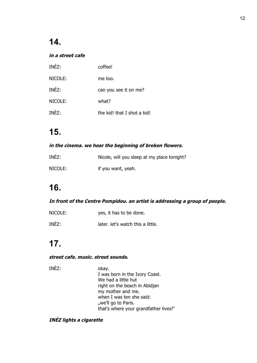### **in a street cafe**

| INÉZ:   | coffee!                     |
|---------|-----------------------------|
| NICOLE: | me too.                     |
| INÉZ:   | can you see it on me?       |
| NICOLE: | what?                       |
| INÉZ:   | the kid! that I shot a kid! |

## **15.**

### **in the cinema. we hear the beginning of broken flowers.**

| INÉZ:   | Nicole, will you sleep at my place tonight? |
|---------|---------------------------------------------|
| NICOLE: | if you want, yeah.                          |

## **16.**

### **In front of the Centre Pompidou. an artist is addressing a group of people.**

| NICOLE: | yes, it has to be done.           |
|---------|-----------------------------------|
| INÉZ:   | later. let's watch this a little. |

## **17.**

#### **street cafe. music. street sounds.**

| INÉZ: | okay.                                 |
|-------|---------------------------------------|
|       | I was born in the Ivory Coast.        |
|       | We had a little hut                   |
|       | right on the beach in Abidjan         |
|       | my mother and me.                     |
|       | when I was ten she said:              |
|       | "we'll go to Paris.                   |
|       | that's where your grandfather lives!" |

### **INÉZ lights a cigarette**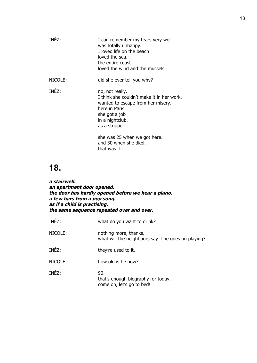| TNF7:   | I can remember my tears very well.<br>was totally unhappy.<br>I loved life on the beach<br>loved the sea.<br>the entire coast.<br>loved the wind and the mussels.        |
|---------|--------------------------------------------------------------------------------------------------------------------------------------------------------------------------|
| NICOLE: | did she ever tell you why?                                                                                                                                               |
| INÉZ:   | no, not really.<br>I think she couldn't make it in her work.<br>wanted to escape from her misery.<br>here in Paris<br>she got a job<br>in a nightclub.<br>as a stripper. |
|         | she was 25 when we got here.<br>and 30 when she died.<br>that was it.                                                                                                    |

**a stairwell. an apartment door opened. the door has hardly opened before we hear a piano. a few bars from a pop song. as if a child is practising. the same sequence repeated over and over.** 

| INÉZ:   | what do you want to drink?                                                   |
|---------|------------------------------------------------------------------------------|
| NICOLE: | nothing more, thanks.<br>what will the neighbours say if he goes on playing? |
| INÉZ:   | they're used to it.                                                          |
| NICOLE: | how old is he now?                                                           |
| INÉZ:   | 90.<br>that's enough biography for today.<br>come on, let's go to bed!       |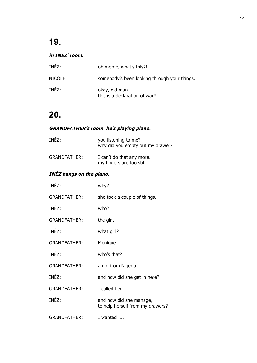### **in INÉZ' room.**

| INÉZ:   | oh merde, what's this?!!                         |
|---------|--------------------------------------------------|
| NICOLE: | somebody's been looking through your things.     |
| INÉZ:   | okay, old man.<br>this is a declaration of war!! |

## **20.**

### **GRANDFATHER's room. he's playing piano.**

| INÉZ:               | you listening to me?<br>why did you empty out my drawer? |
|---------------------|----------------------------------------------------------|
| <b>GRANDFATHER:</b> | I can't do that any more.<br>my fingers are too stiff.   |

### **INÉZ bangs on the piano.**

| INÉZ:               | why?                                                        |
|---------------------|-------------------------------------------------------------|
| <b>GRANDFATHER:</b> | she took a couple of things.                                |
| INÉZ:               | who?                                                        |
| <b>GRANDFATHER:</b> | the girl.                                                   |
| INÉZ:               | what girl?                                                  |
| <b>GRANDFATHER:</b> | Monique.                                                    |
| INÉZ:               | who's that?                                                 |
| <b>GRANDFATHER:</b> | a girl from Nigeria.                                        |
| INÉZ:               | and how did she get in here?                                |
| <b>GRANDFATHER:</b> | I called her.                                               |
| INÉZ:               | and how did she manage,<br>to help herself from my drawers? |
| <b>GRANDFATHER:</b> | I wanted                                                    |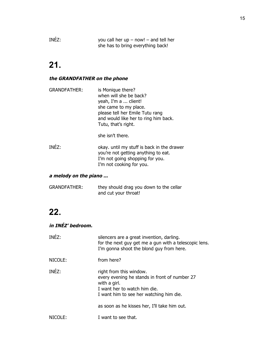INÉZ: you call her up – now! – and tell her she has to bring everything back!

## **21.**

#### **the GRANDFATHER on the phone**

| <b>GRANDFATHER:</b> | is Monique there?<br>when will she be back?<br>yeah, I'm a  client!<br>she came to my place.<br>please tell her Emile Tutu rang<br>and would like her to ring him back.<br>Tutu, that's right. |
|---------------------|------------------------------------------------------------------------------------------------------------------------------------------------------------------------------------------------|
|---------------------|------------------------------------------------------------------------------------------------------------------------------------------------------------------------------------------------|

she isn't there.

INÉZ: okay. until my stuff is back in the drawer you're not getting anything to eat. I'm not going shopping for you. I'm not cooking for you.

#### **a melody on the piano ...**

| <b>GRANDFATHER:</b> | they should drag you down to the cellar |
|---------------------|-----------------------------------------|
|                     | and cut your throat!                    |

## **22.**

### **in INÉZ' bedroom.**

| INÉZ:   | silencers are a great invention, darling.<br>for the next guy get me a gun with a telescopic lens.<br>I'm gonna shoot the blond guy from here.                                                                      |
|---------|---------------------------------------------------------------------------------------------------------------------------------------------------------------------------------------------------------------------|
| NICOLE: | from here?                                                                                                                                                                                                          |
| INÉZ:   | right from this window.<br>every evening he stands in front of number 27<br>with a girl.<br>I want her to watch him die.<br>I want him to see her watching him die.<br>as soon as he kisses her, I'll take him out. |
| NIC(    | I want to see that.                                                                                                                                                                                                 |
|         |                                                                                                                                                                                                                     |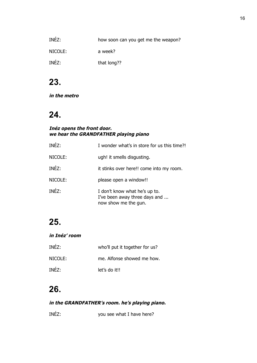| INÉZ:   | how soon can you get me the weapon? |
|---------|-------------------------------------|
| NICOLE: | a week?                             |
| INÉZ:   | that long??                         |

**in the metro**

## **24.**

#### **Inéz opens the front door. we hear the GRANDFATHER playing piano**

| INÉZ:   | I wonder what's in store for us this time?!                                            |
|---------|----------------------------------------------------------------------------------------|
| NICOLE: | ugh! it smells disgusting.                                                             |
| INÉZ:   | it stinks over here!! come into my room.                                               |
| NICOLE: | please open a window!!                                                                 |
| INÉZ:   | I don't know what he's up to.<br>I've been away three days and<br>now show me the gun. |

## **25.**

#### **in Inéz' room**

| INÉZ:   | who'll put it together for us? |
|---------|--------------------------------|
| NICOLE: | me. Alfonse showed me how.     |
| INÉZ:   | let's do it!!                  |

## **26.**

### **in the GRANDFATHER's room. he's playing piano.**

INÉZ: you see what I have here?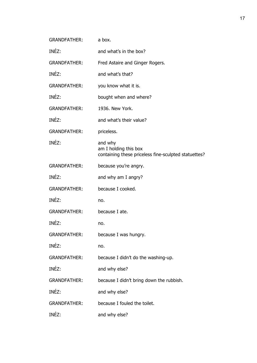| <b>GRANDFATHER:</b> | a box.                                                                                   |
|---------------------|------------------------------------------------------------------------------------------|
| INÉZ:               | and what's in the box?                                                                   |
| <b>GRANDFATHER:</b> | Fred Astaire and Ginger Rogers.                                                          |
| INÉZ:               | and what's that?                                                                         |
| <b>GRANDFATHER:</b> | you know what it is.                                                                     |
| INÉZ:               | bought when and where?                                                                   |
| <b>GRANDFATHER:</b> | 1936. New York.                                                                          |
| INÉZ:               | and what's their value?                                                                  |
| <b>GRANDFATHER:</b> | priceless.                                                                               |
| INÉZ:               | and why<br>am I holding this box<br>containing these priceless fine-sculpted statuettes? |
| <b>GRANDFATHER:</b> | because you're angry.                                                                    |
| INÉZ:               | and why am I angry?                                                                      |
| <b>GRANDFATHER:</b> | because I cooked.                                                                        |
| INÉZ:               | no.                                                                                      |
| <b>GRANDFATHER:</b> | because I ate.                                                                           |
| INÉZ:               | no.                                                                                      |
| <b>GRANDFATHER:</b> | because I was hungry.                                                                    |
| INÉZ:               | no.                                                                                      |
| <b>GRANDFATHER:</b> | because I didn't do the washing-up.                                                      |
| INÉZ:               | and why else?                                                                            |
| <b>GRANDFATHER:</b> | because I didn't bring down the rubbish.                                                 |
| INÉZ:               | and why else?                                                                            |
| <b>GRANDFATHER:</b> | because I fouled the toilet.                                                             |
| INÉZ:               | and why else?                                                                            |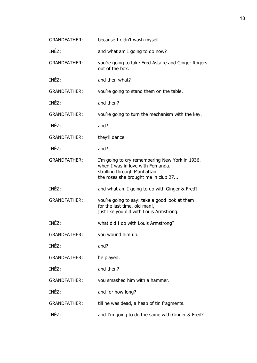| <b>GRANDFATHER:</b> | because I didn't wash myself.                                                                                                                              |
|---------------------|------------------------------------------------------------------------------------------------------------------------------------------------------------|
| INÉZ:               | and what am I going to do now?                                                                                                                             |
| <b>GRANDFATHER:</b> | you're going to take Fred Astaire and Ginger Rogers<br>out of the box.                                                                                     |
| INÉZ:               | and then what?                                                                                                                                             |
| <b>GRANDFATHER:</b> | you're going to stand them on the table.                                                                                                                   |
| INÉZ:               | and then?                                                                                                                                                  |
| <b>GRANDFATHER:</b> | you're going to turn the mechanism with the key.                                                                                                           |
| INÉZ:               | and?                                                                                                                                                       |
| <b>GRANDFATHER:</b> | they'll dance.                                                                                                                                             |
| INÉZ:               | and?                                                                                                                                                       |
| <b>GRANDFATHER:</b> | I'm going to cry remembering New York in 1936.<br>when I was in love with Fernanda.<br>strolling through Manhattan.<br>the roses she brought me in club 27 |
| INÉZ:               | and what am I going to do with Ginger & Fred?                                                                                                              |
| <b>GRANDFATHER:</b> | you're going to say: take a good look at them<br>for the last time, old man!,<br>just like you did with Louis Armstrong.                                   |
| INÉZ:               | what did I do with Louis Armstrong?                                                                                                                        |
| <b>GRANDFATHER:</b> | you wound him up.                                                                                                                                          |
| INÉZ:               | and?                                                                                                                                                       |
| <b>GRANDFATHER:</b> | he played.                                                                                                                                                 |
| INÉZ:               | and then?                                                                                                                                                  |
| <b>GRANDFATHER:</b> | you smashed him with a hammer.                                                                                                                             |
| INÉZ:               | and for how long?                                                                                                                                          |
| <b>GRANDFATHER:</b> | till he was dead, a heap of tin fragments.                                                                                                                 |
| INÉZ:               | and I'm going to do the same with Ginger & Fred?                                                                                                           |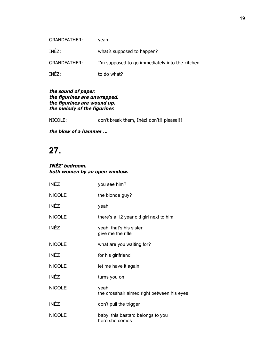| <b>GRANDFATHER:</b> | yeah.                                            |
|---------------------|--------------------------------------------------|
| INÉZ:               | what's supposed to happen?                       |
| <b>GRANDFATHER:</b> | I'm supposed to go immediately into the kitchen. |
| INÉZ:               | to do what?                                      |

#### **the sound of paper. the figurines are unwrapped. the figurines are wound up. the melody of the figurines**

NICOLE: don't break them, Inéz! don't!! please!!!

**the blow of a hammer ...**

## **27.**

#### **INÉZ' bedroom. both women by an open window.**

| <b>INÉZ</b>   | you see him?                                        |
|---------------|-----------------------------------------------------|
| <b>NICOLE</b> | the blonde guy?                                     |
| <b>INÉZ</b>   | yeah                                                |
| <b>NICOLE</b> | there's a 12 year old girl next to him              |
| <b>INÉZ</b>   | yeah, that's his sister<br>give me the rifle        |
| <b>NICOLE</b> | what are you waiting for?                           |
| <b>INÉZ</b>   | for his girlfriend                                  |
| <b>NICOLE</b> | let me have it again                                |
| <b>INÉZ</b>   | turns you on                                        |
| <b>NICOLE</b> | yeah<br>the crosshair aimed right between his eyes  |
| <b>INÉZ</b>   | don't pull the trigger                              |
| <b>NICOLE</b> | baby, this bastard belongs to you<br>here she comes |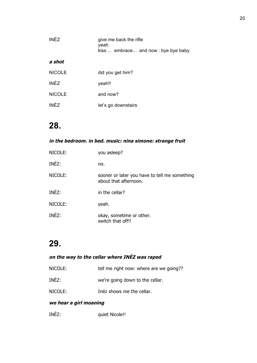| <b>INÉZ</b>   | give me back the rifle<br>yeah<br>kiss  embrace and now : bye bye baby |
|---------------|------------------------------------------------------------------------|
| a shot        |                                                                        |
| <b>NICOLE</b> | did you get him?                                                       |
| <b>INÉZ</b>   | yeah!!                                                                 |
| <b>NICOLE</b> | and now?                                                               |
| <b>INÉZ</b>   | let's go downstairs                                                    |

### **in the bedroom. in bed. music: nina simone: strange fruit**

| NICOLE: | you asleep?                                                            |
|---------|------------------------------------------------------------------------|
| INÉZ:   | no.                                                                    |
| NICOLE: | sooner or later you have to tell me something<br>about that afternoon. |
| INÉZ:   | in the cellar?                                                         |
| NICOLE: | yeah.                                                                  |
| INÉZ:   | okay, sometime or other.<br>switch that off!!                          |

## **29.**

### **on the way to the cellar where INÉZ was raped**

| NICOLE: | tell me right now: where are we going?? |
|---------|-----------------------------------------|
| INÉZ:   | we're going down to the cellar.         |
| NICOLE: | Inéz shows me the cellar.               |

### **we hear a girl moaning**

INÉZ: quiet Nicole!!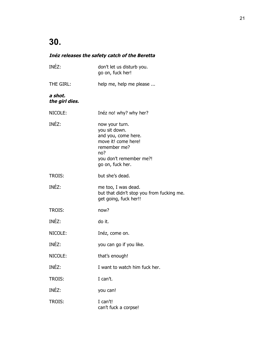### **Inéz releases the safety catch of the Beretta**

| INÉZ:                     | don't let us disturb you.<br>go on, fuck her!                                                                                                       |
|---------------------------|-----------------------------------------------------------------------------------------------------------------------------------------------------|
| THE GIRL:                 | help me, help me please                                                                                                                             |
| a shot.<br>the girl dies. |                                                                                                                                                     |
| NICOLE:                   | Inéz no! why? why her?                                                                                                                              |
| INÉZ:                     | now your turn.<br>you sit down.<br>and you, come here.<br>move it! come here!<br>remember me?<br>no?<br>you don't remember me?!<br>go on, fuck her. |
| <b>TROIS:</b>             | but she's dead.                                                                                                                                     |
| INÉZ:                     | me too, I was dead.<br>but that didn't stop you from fucking me.<br>get going, fuck her!!                                                           |
| <b>TROIS:</b>             | now?                                                                                                                                                |
| INÉZ:                     | do it.                                                                                                                                              |
| NICOLE:                   | Inéz, come on.                                                                                                                                      |
| INÉZ:                     | you can go if you like.                                                                                                                             |
| NICOLE:                   | that's enough!                                                                                                                                      |
| INÉZ:                     | I want to watch him fuck her.                                                                                                                       |
| TROIS:                    | I can't.                                                                                                                                            |
| INÉZ:                     | you can!                                                                                                                                            |
| TROIS:                    | I can't!<br>can't fuck a corpse!                                                                                                                    |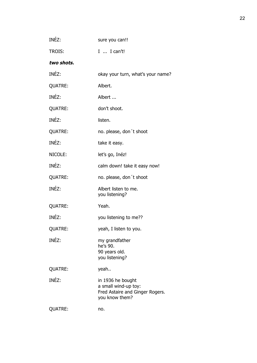| INEZ:          | sure you can!!                                                                                 |
|----------------|------------------------------------------------------------------------------------------------|
| TROIS:         | I  I can't!                                                                                    |
| two shots.     |                                                                                                |
| INÉZ:          | okay your turn, what's your name?                                                              |
| <b>QUATRE:</b> | Albert.                                                                                        |
| INÉZ:          | Albert                                                                                         |
| <b>QUATRE:</b> | don't shoot.                                                                                   |
| INÉZ:          | listen.                                                                                        |
| <b>QUATRE:</b> | no. please, don't shoot                                                                        |
| INÉZ:          | take it easy.                                                                                  |
| NICOLE:        | let's go, Inéz!                                                                                |
| INÉZ:          | calm down! take it easy now!                                                                   |
| <b>QUATRE:</b> | no. please, don't shoot                                                                        |
| INÉZ:          | Albert listen to me.<br>you listening?                                                         |
| <b>QUATRE:</b> | Yeah.                                                                                          |
| INÉZ:          | you listening to me??                                                                          |
| <b>QUATRE:</b> | yeah, I listen to you.                                                                         |
| INÉZ:          | my grandfather<br>he's 90.<br>90 years old.<br>you listening?                                  |
| <b>QUATRE:</b> | yeah                                                                                           |
| INÉZ:          | in 1936 he bought<br>a small wind-up toy:<br>Fred Astaire and Ginger Rogers.<br>you know them? |
| <b>QUATRE:</b> | no.                                                                                            |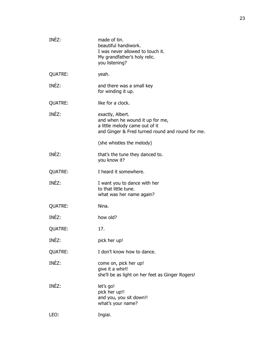| INÉZ:          | made of tin.<br>beautiful handiwork.<br>I was never allowed to touch it.<br>My grandfather's holy relic.<br>you listening?                |
|----------------|-------------------------------------------------------------------------------------------------------------------------------------------|
| <b>QUATRE:</b> | yeah.                                                                                                                                     |
| INÉZ:          | and there was a small key<br>for winding it up.                                                                                           |
| <b>QUATRE:</b> | like for a clock.                                                                                                                         |
| INÉZ:          | exactly, Albert.<br>and when he wound it up for me,<br>a little melody came out of it<br>and Ginger & Fred turned round and round for me. |
|                | (she whistles the melody)                                                                                                                 |
| INÉZ:          | that's the tune they danced to.<br>you know it?                                                                                           |
| <b>QUATRE:</b> | I heard it somewhere.                                                                                                                     |
| INÉZ:          | I want you to dance with her<br>to that little tune.<br>what was her name again?                                                          |
| <b>QUATRE:</b> | Nina.                                                                                                                                     |
| INÉZ:          | how old?                                                                                                                                  |
| <b>QUATRE:</b> | 17.                                                                                                                                       |
| INÉZ:          | pick her up!                                                                                                                              |
| <b>QUATRE:</b> | I don't know how to dance.                                                                                                                |
| INÉZ:          | come on, pick her up!<br>give it a whirl!<br>she'll be as light on her feet as Ginger Rogers!                                             |
| INÉZ:          | let's go!<br>pick her up!!<br>and you, you sit down!!<br>what's your name?                                                                |
| LEO:           | Ingiai.                                                                                                                                   |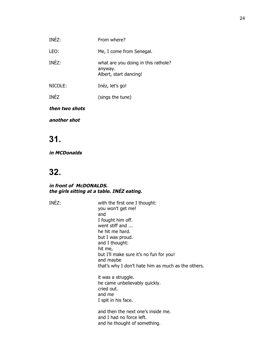| then two shots |                                                                          |
|----------------|--------------------------------------------------------------------------|
| <b>INÉZ</b>    | (sings the tune)                                                         |
| NICOLE:        | Inéz, let's go!                                                          |
| INÉZ:          | what are you doing in this rathole?<br>anyway.<br>Albert, start dancing! |
| LEO:           | Me, I come from Senegal.                                                 |
| INÉZ:          | From where?                                                              |

**another shot** 

## **31.**

**in MCDonalds**

## **32.**

#### **in front of McDONALDS. the girls sitting at a table. INÉZ eating.**

INÉZ: with the first one I thought: you won't get me! and I fought him off. went stiff and ... he hit me hard. but I was proud. and I thought: hit me, but I'll make sure it's no fun for you! and maybe that's why I don't hate him as much as the others. it was a struggle. he came unbelievably quickly. cried out. and me I spit in his face. and then the next one's inside me. and I had no force left.

and he thought of something.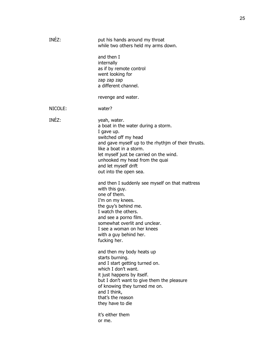| INÉZ:   | put his hands around my throat<br>while two others held my arms down.                                                                                                                                                                                                                                                                                                                                                                                                                                                                                                                                |
|---------|------------------------------------------------------------------------------------------------------------------------------------------------------------------------------------------------------------------------------------------------------------------------------------------------------------------------------------------------------------------------------------------------------------------------------------------------------------------------------------------------------------------------------------------------------------------------------------------------------|
|         | and then I<br>internally<br>as if by remote control<br>went looking for<br>zap zap zap<br>a different channel.                                                                                                                                                                                                                                                                                                                                                                                                                                                                                       |
|         | revenge and water.                                                                                                                                                                                                                                                                                                                                                                                                                                                                                                                                                                                   |
| NICOLE: | water?                                                                                                                                                                                                                                                                                                                                                                                                                                                                                                                                                                                               |
| INÉZ:   | yeah, water.<br>a boat in the water during a storm.<br>I gave up.<br>switched off my head<br>and gave myself up to the rhythim of their thrusts.<br>like a boat in a storm.<br>let myself just be carried on the wind.<br>unhooked my head from the quai<br>and let myself drift<br>out into the open sea.<br>and then I suddenly see myself on that mattress<br>with this guy.<br>one of them.<br>I'm on my knees.<br>the guy's behind me.<br>I watch the others.<br>and see a porno film.<br>somewhat overlit and unclear.<br>I see a woman on her knees<br>with a guy behind her.<br>fucking her. |
|         | and then my body heats up<br>starts burning.<br>and I start getting turned on.<br>which I don't want.<br>it just happens by itself.<br>but I don't want to give them the pleasure<br>of knowing they turned me on.<br>and I think,<br>that's the reason<br>they have to die                                                                                                                                                                                                                                                                                                                          |
|         | it's either them<br>or me.                                                                                                                                                                                                                                                                                                                                                                                                                                                                                                                                                                           |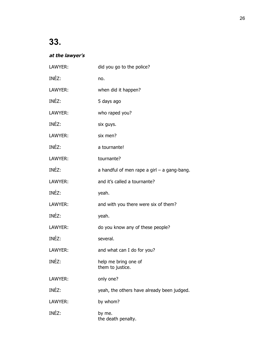### **at the lawyer's**

| LAWYER: | did you go to the police?                     |
|---------|-----------------------------------------------|
| INÉZ:   | no.                                           |
| LAWYER: | when did it happen?                           |
| INÉZ:   | 5 days ago                                    |
| LAWYER: | who raped you?                                |
| INÉZ:   | six guys.                                     |
| LAWYER: | six men?                                      |
| INÉZ:   | a tournante!                                  |
| LAWYER: | tournante?                                    |
| INÉZ:   | a handful of men rape a girl $-$ a gang-bang. |
| LAWYER: | and it's called a tournante?                  |
| INÉZ:   | yeah.                                         |
| LAWYER: | and with you there were six of them?          |
| INÉZ:   | yeah.                                         |
| LAWYER: | do you know any of these people?              |
| INÉZ:   | several.                                      |
| LAWYER: | and what can I do for you?                    |
| INÉZ:   | help me bring one of<br>them to justice.      |
| LAWYER: | only one?                                     |
| INÉZ:   | yeah, the others have already been judged.    |
| LAWYER: | by whom?                                      |
| INÉZ:   | by me.<br>the death penalty.                  |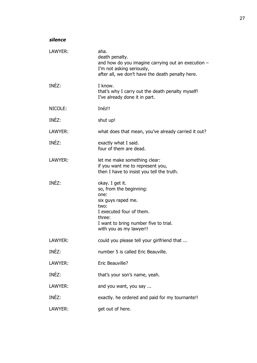| ,,<br><br>۰. | ٠<br>n<br>٠<br>٧ | ×<br>×<br>٠<br>v |
|--------------|------------------|------------------|
|              |                  |                  |

| LAWYER: | aha.<br>death penalty.<br>and how do you imagine carrying out an execution -<br>I'm not asking seriously,<br>after all, we don't have the death penalty here.                              |
|---------|--------------------------------------------------------------------------------------------------------------------------------------------------------------------------------------------|
| INÉZ:   | I know.<br>that's why I carry out the death penalty myself!<br>I've already done it in part.                                                                                               |
| NICOLE: | Inéz!!                                                                                                                                                                                     |
| INÉZ:   | shut up!                                                                                                                                                                                   |
| LAWYER: | what does that mean, you've already carried it out?                                                                                                                                        |
| INÉZ:   | exactly what I said.<br>four of them are dead.                                                                                                                                             |
| LAWYER: | let me make something clear:<br>if you want me to represent you,<br>then I have to insist you tell the truth.                                                                              |
| INÉZ:   | okay. I get it.<br>so, from the beginning:<br>one:<br>six guys raped me.<br>two:<br>I executed four of them.<br>three:<br>I want to bring number five to trial.<br>with you as my lawyer!! |
| LAWYER: | could you please tell your girlfriend that                                                                                                                                                 |
| INÉZ:   | number 5 is called Eric Beauville.                                                                                                                                                         |
| LAWYER: | Eric Beauville?                                                                                                                                                                            |
| INÉZ:   | that's your son's name, yeah.                                                                                                                                                              |
| LAWYER: | and you want, you say                                                                                                                                                                      |
| INÉZ:   | exactly. he ordered and paid for my tournante!!                                                                                                                                            |
| LAWYER: | get out of here.                                                                                                                                                                           |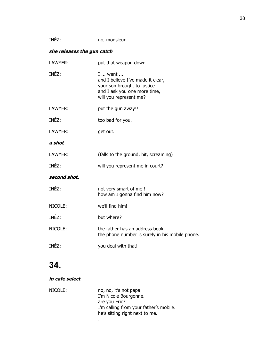| INEZ: |  | no, monsieur. |
|-------|--|---------------|
|-------|--|---------------|

### **she releases the gun catch**

| LAWYER:      | put that weapon down.                                                                                                                 |
|--------------|---------------------------------------------------------------------------------------------------------------------------------------|
| INÉZ:        | I  want<br>and I believe I've made it clear,<br>your son brought to justice<br>and I ask you one more time,<br>will you represent me? |
| LAWYER:      | put the gun away!!                                                                                                                    |
| INÉZ:        | too bad for you.                                                                                                                      |
| LAWYER:      | get out.                                                                                                                              |
| a shot       |                                                                                                                                       |
| LAWYER:      | (falls to the ground, hit, screaming)                                                                                                 |
| INÉZ:        | will you represent me in court?                                                                                                       |
| second shot. |                                                                                                                                       |
| INÉZ:        | not very smart of me!!<br>how am I gonna find him now?                                                                                |
| NICOLE:      | we'll find him!                                                                                                                       |
| INÉZ:        | but where?                                                                                                                            |
| NICOLE:      | the father has an address book.<br>the phone number is surely in his mobile phone.                                                    |
| INÉZ:        | you deal with that!                                                                                                                   |

## **34.**

### **in cafe select**

| NICOLE: | no, no, it's not papa.                 |
|---------|----------------------------------------|
|         | I'm Nicole Bourgonne.                  |
|         | are you Eric?                          |
|         | I'm calling from your father's mobile. |
|         | he's sitting right next to me.         |
|         | ٠                                      |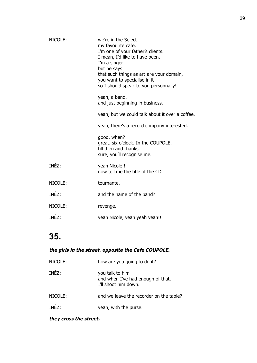| NICOLE: | we're in the Select.<br>my favourite cafe.<br>I'm one of your father's clients.<br>I mean, I'd like to have been.<br>I'm a singer.<br>but he says<br>that such things as art are your domain,<br>you want to specialise in it<br>so I should speak to you personnally!<br>yeah, a band. |
|---------|-----------------------------------------------------------------------------------------------------------------------------------------------------------------------------------------------------------------------------------------------------------------------------------------|
|         | and just beginning in business.<br>yeah, but we could talk about it over a coffee.                                                                                                                                                                                                      |
|         |                                                                                                                                                                                                                                                                                         |
|         | yeah, there's a record company interested.                                                                                                                                                                                                                                              |
|         | good, when?<br>great. six o'clock. In the COUPOLE.<br>till then and thanks.<br>sure, you'll recognise me.                                                                                                                                                                               |
| INÉZ:   | yeah Nicole!!<br>now tell me the title of the CD                                                                                                                                                                                                                                        |
| NICOLE: | tournante.                                                                                                                                                                                                                                                                              |
| INÉZ:   | and the name of the band?                                                                                                                                                                                                                                                               |
| NICOLE: | revenge.                                                                                                                                                                                                                                                                                |
| INÉZ:   | yeah Nicole, yeah yeah yeah!!                                                                                                                                                                                                                                                           |

### **the girls in the street. opposite the Cafe COUPOLE.**

| NICOLE: | how are you going to do it?                                                  |
|---------|------------------------------------------------------------------------------|
| INÉZ:   | you talk to him<br>and when I've had enough of that,<br>I'll shoot him down. |
| NICOLE: | and we leave the recorder on the table?                                      |
| INEZ    | yeah, with the purse.                                                        |

### **they cross the street.**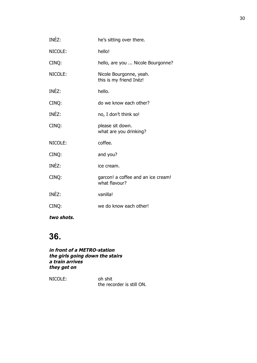| INÉZ:   | he's sitting over there.                            |
|---------|-----------------------------------------------------|
| NICOLE: | hello!                                              |
| CINQ:   | hello, are you  Nicole Bourgonne?                   |
| NICOLE: | Nicole Bourgonne, yeah.<br>this is my friend Inéz!  |
| INÉZ:   | hello.                                              |
| CINQ:   | do we know each other?                              |
| INÉZ:   | no, I don't think so!                               |
| CINQ:   | please sit down.<br>what are you drinking?          |
| NICOLE: | coffee.                                             |
| CINQ:   | and you?                                            |
| INÉZ:   | ice cream.                                          |
| CINQ:   | garcon! a coffee and an ice cream!<br>what flavour? |
| INÉZ:   | vanilla!                                            |
| CINQ:   | we do know each other!                              |
|         |                                                     |

**two shots.**

## **36.**

**in front of a METRO-station the girls going down the stairs a train arrives they get on**

NICOLE: oh shit the recorder is still ON.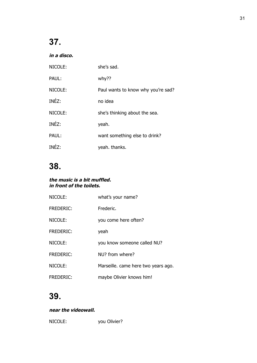**in a disco.** 

| NICOLE: | she's sad.                         |
|---------|------------------------------------|
| PAUL:   | why??                              |
| NICOLE: | Paul wants to know why you're sad? |
| INÉZ:   | no idea                            |
| NICOLE: | she's thinking about the sea.      |
| INÉZ:   | yeah.                              |
| PAUL:   | want something else to drink?      |
| INFZ:   | yeah. thanks.                      |

## **38.**

#### **the music is a bit muffled. in front of the toilets.**

| NICOLE:          | what's your name?                   |
|------------------|-------------------------------------|
| <b>FREDERIC:</b> | Frederic.                           |
| NICOLE:          | you come here often?                |
| <b>FREDERIC:</b> | yeah                                |
| NICOLE:          | you know someone called NU?         |
| <b>FREDERIC:</b> | NU? from where?                     |
| NICOLE:          | Marseille. came here two years ago. |
| FREDERIC:        | maybe Olivier knows him!            |

## **39.**

### **near the videowall.**

NICOLE: you Olivier?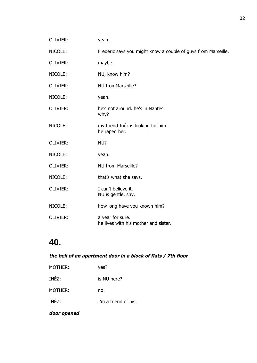| OLIVIER: | yeah.                                                         |
|----------|---------------------------------------------------------------|
| NICOLE:  | Frederic says you might know a couple of guys from Marseille. |
| OLIVIER: | maybe.                                                        |
| NICOLE:  | NU, know him?                                                 |
| OLIVIER: | NU fromMarseille?                                             |
| NICOLE:  | yeah.                                                         |
| OLIVIER: | he's not around, he's in Nantes.<br>why?                      |
| NICOLE:  | my friend Inéz is looking for him.<br>he raped her.           |
| OLIVIER: | NU?                                                           |
| NICOLE:  | yeah.                                                         |
| OLIVIER: | <b>NU from Marseille?</b>                                     |
| NICOLE:  | that's what she says.                                         |
| OLIVIER: | I can't believe it.<br>NU is gentle. shy.                     |
| NICOLE:  | how long have you known him?                                  |
| OLIVIER: | a year for sure.<br>he lives with his mother and sister.      |

### **the bell of an apartment door in a block of flats / 7th floor**

| <b>MOTHER:</b> | yes?                 |
|----------------|----------------------|
| INÉZ:          | is NU here?          |
| MOTHER:        | no.                  |
| INÉZ:          | I'm a friend of his. |

### **door opened**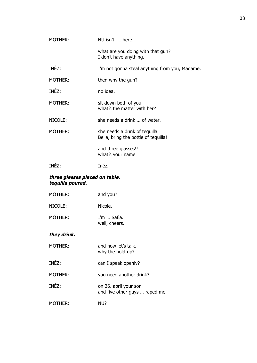| MOTHER:                                            | NU isn't  here.                                                        |
|----------------------------------------------------|------------------------------------------------------------------------|
|                                                    | what are you doing with that gun?<br>I don't have anything.            |
| INÉZ:                                              | I'm not gonna steal anything from you, Madame.                         |
| MOTHER:                                            | then why the gun?                                                      |
| INÉZ:                                              | no idea.                                                               |
| MOTHER:                                            | sit down both of you.<br>what's the matter with her?                   |
| NICOLE:                                            | she needs a drink  of water.                                           |
| MOTHER:                                            | she needs a drink of tequilla.<br>Bella, bring the bottle of tequilla! |
|                                                    | and three glasses!!<br>what's your name                                |
| INÉZ:                                              | Inéz.                                                                  |
| three glasses placed on table.<br>tequilla poured. |                                                                        |
| MOTHER:                                            | and you?                                                               |
| NICOLE:                                            | Nicole.                                                                |
| MOTHER:                                            | I'm  Safia.<br>well, cheers.                                           |
| they drink.                                        |                                                                        |
| MOTHER:                                            | and now let's talk.<br>why the hold-up?                                |
| INÉZ:                                              | can I speak openly?                                                    |
| <b>MOTHER:</b>                                     | you need another drink?                                                |
| INÉZ:                                              | on 26. april your son<br>and five other guys  raped me.                |
| MOTHER:                                            | NU?                                                                    |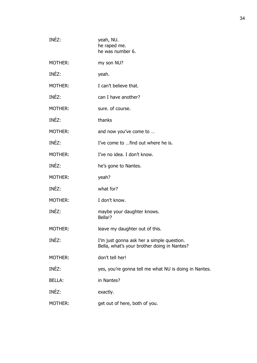| INÉZ:         | yeah, NU.<br>he raped me.<br>he was number 6.                                            |
|---------------|------------------------------------------------------------------------------------------|
| MOTHER:       | my son NU?                                                                               |
| INÉZ:         | yeah.                                                                                    |
| MOTHER:       | I can't believe that.                                                                    |
| INÉZ:         | can I have another?                                                                      |
| MOTHER:       | sure. of course.                                                                         |
| INÉZ:         | thanks                                                                                   |
| MOTHER:       | and now you've come to                                                                   |
| INÉZ:         | I've come to find out where he is.                                                       |
| MOTHER:       | I've no idea. I don't know.                                                              |
| INÉZ:         | he's gone to Nantes.                                                                     |
| MOTHER:       | yeah?                                                                                    |
| INÉZ:         | what for?                                                                                |
| MOTHER:       | I don't know.                                                                            |
| INÉZ:         | maybe your daughter knows.<br>Bella!?                                                    |
| MOTHER:       | leave my daughter out of this.                                                           |
| INÉZ:         | I'm just gonna ask her a simple question.<br>Bella, what's your brother doing in Nantes? |
| MOTHER:       | don't tell her!                                                                          |
| INÉZ:         | yes, you're gonna tell me what NU is doing in Nantes.                                    |
| <b>BELLA:</b> | in Nantes?                                                                               |
| INÉZ:         | exactly.                                                                                 |
| MOTHER:       | get out of here, both of you.                                                            |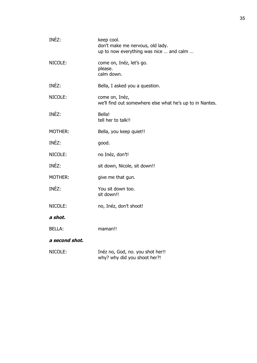| INÉZ:          | keep cool.<br>don't make me nervous, old lady.<br>up to now everything was nice  and calm |
|----------------|-------------------------------------------------------------------------------------------|
| NICOLE:        | come on, Inéz, let's go.<br>please.<br>calm down.                                         |
| INÉZ:          | Bella, I asked you a question.                                                            |
| NICOLE:        | come on, Inéz,<br>we'll find out somewhere else what he's up to in Nantes.                |
| INÉZ:          | Bella!<br>tell her to talk!!                                                              |
| MOTHER:        | Bella, you keep quiet!!                                                                   |
| INÉZ:          | good.                                                                                     |
| NICOLE:        | no Inéz, don't!                                                                           |
| INÉZ:          | sit down, Nicole, sit down!!                                                              |
| MOTHER:        | give me that gun.                                                                         |
| INÉZ:          | You sit down too.<br>sit down!!                                                           |
| NICOLE:        | no, Inéz, don't shoot!                                                                    |
| a shot.        |                                                                                           |
| BELLA:         | maman!!                                                                                   |
| a second shot. |                                                                                           |
| NICOLE:        | Inéz no, God, no. you shot her!!<br>why? why did you shoot her?!                          |